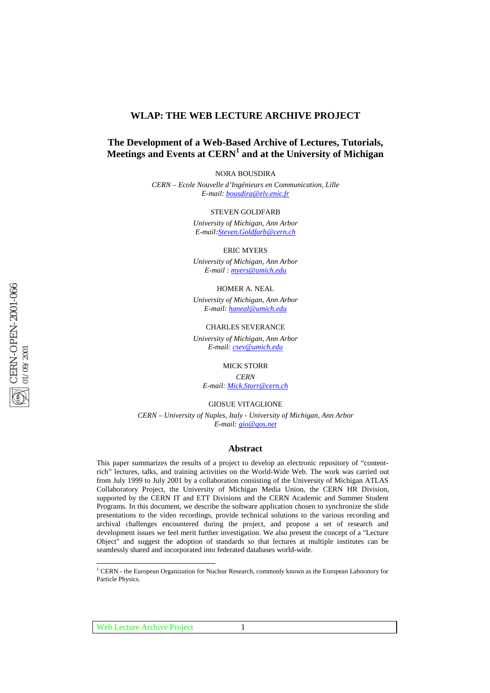## **WLAP: THE WEB LECTURE ARCHIVE PROJECT**

## **The Development of a Web-Based Archive of Lectures, Tutorials, Meetings and Events at CERN1 and at the University of Michigan**

NORA BOUSDIRA

*CERN – Ecole Nouvelle d'Ingénieurs en Communication, Lille E-mail: bousdira@elv.enic.fr*

STEVEN GOLDFARB

*University of Michigan, Ann Arbor E-mail:Steven.Goldfarb@cern.ch*

ERIC MYERS

*University of Michigan, Ann Arbor E-mail : myers@umich.edu*

HOMER A. NEAL

*University of Michigan, Ann Arbor E-mail: haneal@umich.edu*

CHARLES SEVERANCE

*University of Michigan, Ann Arbor E-mail: csev@umich.edu*

MICK STORR

*CERN E-mail: Mick.Storr@cern.ch*

GIOSUE VITAGLIONE

*CERN – University of Naples, Italy - University of Michigan, Ann Arbor E-mail: gio@qos.net*

## **Abstract**

This paper summarizes the results of a project to develop an electronic repository of "contentrich" lectures, talks, and training activities on the World-Wide Web. The work was carried out from July 1999 to July 2001 by a collaboration consisting of the University of Michigan ATLAS Collaboratory Project, the University of Michigan Media Union, the CERN HR Division, supported by the CERN IT and ETT Divisions and the CERN Academic and Summer Student Programs. In this document, we describe the software application chosen to synchronize the slide presentations to the video recordings, provide technical solutions to the various recording and archival challenges encountered during the project, and propose a set of research and development issues we feel merit further investigation. We also present the concept of a "Lecture Object" and suggest the adoption of standards so that lectures at multiple institutes can be seamlessly shared and incorporated into federated databases world-wide.

 ${}^{1}$  CERN - the European Organization for Nuclear Research, commonly known as the European Laboratory for Particle Physics.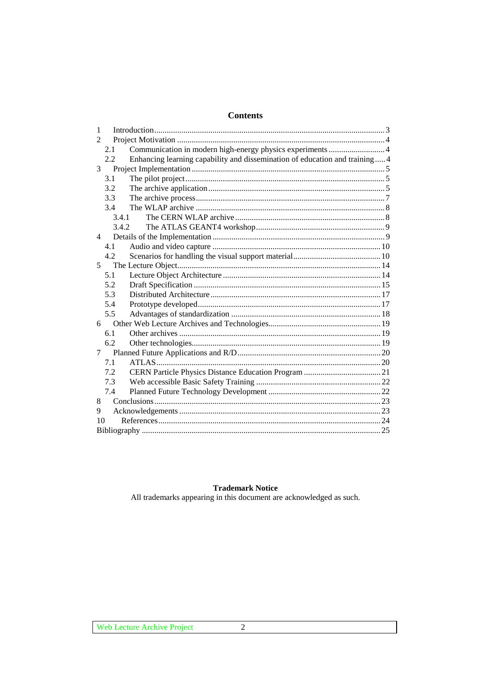# **Contents**

| 1                                                                                  |
|------------------------------------------------------------------------------------|
| $\mathfrak{D}$                                                                     |
| Communication in modern high-energy physics experiments  4<br>2.1                  |
| Enhancing learning capability and dissemination of education and training 4<br>2.2 |
| 3                                                                                  |
| 3.1                                                                                |
| 3.2                                                                                |
| 3.3                                                                                |
| 3.4                                                                                |
| 3.4.1                                                                              |
| 3.4.2                                                                              |
| 4                                                                                  |
| 4.1                                                                                |
| 4.2                                                                                |
| 5                                                                                  |
| 5.1                                                                                |
| 5.2                                                                                |
| 5.3                                                                                |
| 5.4                                                                                |
| 5.5                                                                                |
| 6                                                                                  |
| 6.1                                                                                |
| 6.2                                                                                |
| 7                                                                                  |
| 7.1                                                                                |
| 7.2                                                                                |
| 7.3                                                                                |
| 7.4                                                                                |
| 8                                                                                  |
| 9                                                                                  |
| 10                                                                                 |
|                                                                                    |

## **Trademark Notice**

All trademarks appearing in this document are acknowledged as such.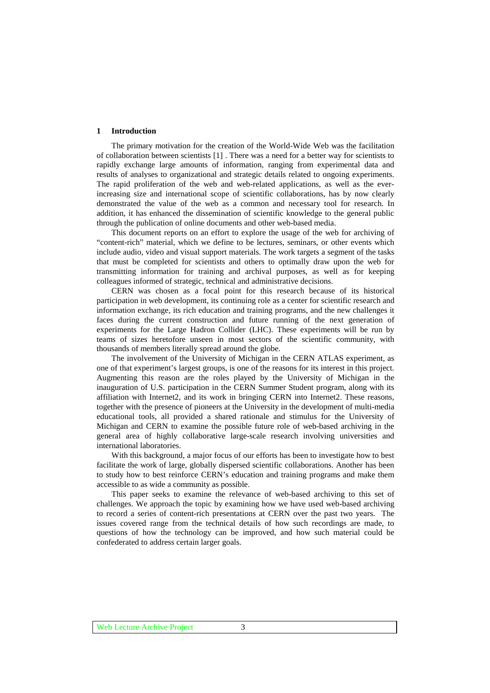#### **1 Introduction**

The primary motivation for the creation of the World-Wide Web was the facilitation of collaboration between scientists [1] . There was a need for a better way for scientists to rapidly exchange large amounts of information, ranging from experimental data and results of analyses to organizational and strategic details related to ongoing experiments. The rapid proliferation of the web and web-related applications, as well as the everincreasing size and international scope of scientific collaborations, has by now clearly demonstrated the value of the web as a common and necessary tool for research. In addition, it has enhanced the dissemination of scientific knowledge to the general public through the publication of online documents and other web-based media.

This document reports on an effort to explore the usage of the web for archiving of "content-rich" material, which we define to be lectures, seminars, or other events which include audio, video and visual support materials. The work targets a segment of the tasks that must be completed for scientists and others to optimally draw upon the web for transmitting information for training and archival purposes, as well as for keeping colleagues informed of strategic, technical and administrative decisions.

CERN was chosen as a focal point for this research because of its historical participation in web development, its continuing role as a center for scientific research and information exchange, its rich education and training programs, and the new challenges it faces during the current construction and future running of the next generation of experiments for the Large Hadron Collider (LHC). These experiments will be run by teams of sizes heretofore unseen in most sectors of the scientific community, with thousands of members literally spread around the globe.

The involvement of the University of Michigan in the CERN ATLAS experiment, as one of that experiment's largest groups, is one of the reasons for its interest in this project. Augmenting this reason are the roles played by the University of Michigan in the inauguration of U.S. participation in the CERN Summer Student program, along with its affiliation with Internet2, and its work in bringing CERN into Internet2. These reasons, together with the presence of pioneers at the University in the development of multi-media educational tools, all provided a shared rationale and stimulus for the University of Michigan and CERN to examine the possible future role of web-based archiving in the general area of highly collaborative large-scale research involving universities and international laboratories.

With this background, a major focus of our efforts has been to investigate how to best facilitate the work of large, globally dispersed scientific collaborations. Another has been to study how to best reinforce CERN's education and training programs and make them accessible to as wide a community as possible.

This paper seeks to examine the relevance of web-based archiving to this set of challenges. We approach the topic by examining how we have used web-based archiving to record a series of content-rich presentations at CERN over the past two years. The issues covered range from the technical details of how such recordings are made, to questions of how the technology can be improved, and how such material could be confederated to address certain larger goals.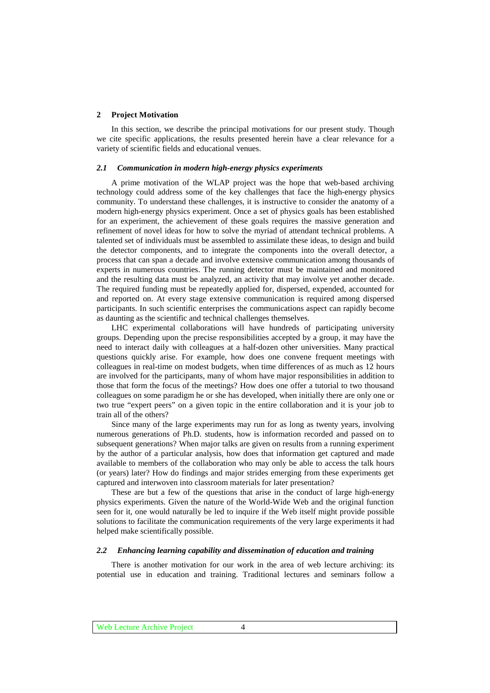## **2 Project Motivation**

In this section, we describe the principal motivations for our present study. Though we cite specific applications, the results presented herein have a clear relevance for a variety of scientific fields and educational venues.

#### *2.1 Communication in modern high-energy physics experiments*

A prime motivation of the WLAP project was the hope that web-based archiving technology could address some of the key challenges that face the high-energy physics community. To understand these challenges, it is instructive to consider the anatomy of a modern high-energy physics experiment. Once a set of physics goals has been established for an experiment, the achievement of these goals requires the massive generation and refinement of novel ideas for how to solve the myriad of attendant technical problems. A talented set of individuals must be assembled to assimilate these ideas, to design and build the detector components, and to integrate the components into the overall detector, a process that can span a decade and involve extensive communication among thousands of experts in numerous countries. The running detector must be maintained and monitored and the resulting data must be analyzed, an activity that may involve yet another decade. The required funding must be repeatedly applied for, dispersed, expended, accounted for and reported on. At every stage extensive communication is required among dispersed participants. In such scientific enterprises the communications aspect can rapidly become as daunting as the scientific and technical challenges themselves.

LHC experimental collaborations will have hundreds of participating university groups. Depending upon the precise responsibilities accepted by a group, it may have the need to interact daily with colleagues at a half-dozen other universities. Many practical questions quickly arise. For example, how does one convene frequent meetings with colleagues in real-time on modest budgets, when time differences of as much as 12 hours are involved for the participants, many of whom have major responsibilities in addition to those that form the focus of the meetings? How does one offer a tutorial to two thousand colleagues on some paradigm he or she has developed, when initially there are only one or two true "expert peers" on a given topic in the entire collaboration and it is your job to train all of the others?

Since many of the large experiments may run for as long as twenty years, involving numerous generations of Ph.D. students, how is information recorded and passed on to subsequent generations? When major talks are given on results from a running experiment by the author of a particular analysis, how does that information get captured and made available to members of the collaboration who may only be able to access the talk hours (or years) later? How do findings and major strides emerging from these experiments get captured and interwoven into classroom materials for later presentation?

These are but a few of the questions that arise in the conduct of large high-energy physics experiments. Given the nature of the World-Wide Web and the original function seen for it, one would naturally be led to inquire if the Web itself might provide possible solutions to facilitate the communication requirements of the very large experiments it had helped make scientifically possible.

#### *2.2 Enhancing learning capability and dissemination of education and training*

There is another motivation for our work in the area of web lecture archiving: its potential use in education and training. Traditional lectures and seminars follow a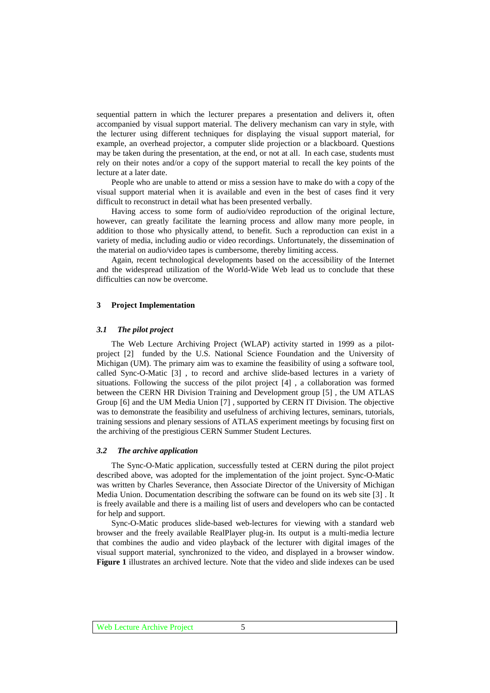sequential pattern in which the lecturer prepares a presentation and delivers it, often accompanied by visual support material. The delivery mechanism can vary in style, with the lecturer using different techniques for displaying the visual support material, for example, an overhead projector, a computer slide projection or a blackboard. Questions may be taken during the presentation, at the end, or not at all. In each case, students must rely on their notes and/or a copy of the support material to recall the key points of the lecture at a later date.

People who are unable to attend or miss a session have to make do with a copy of the visual support material when it is available and even in the best of cases find it very difficult to reconstruct in detail what has been presented verbally.

Having access to some form of audio/video reproduction of the original lecture, however, can greatly facilitate the learning process and allow many more people, in addition to those who physically attend, to benefit. Such a reproduction can exist in a variety of media, including audio or video recordings. Unfortunately, the dissemination of the material on audio/video tapes is cumbersome, thereby limiting access.

Again, recent technological developments based on the accessibility of the Internet and the widespread utilization of the World-Wide Web lead us to conclude that these difficulties can now be overcome.

## **3 Project Implementation**

#### *3.1 The pilot project*

The Web Lecture Archiving Project (WLAP) activity started in 1999 as a pilotproject [2] funded by the U.S. National Science Foundation and the University of Michigan (UM). The primary aim was to examine the feasibility of using a software tool, called Sync-O-Matic [3] , to record and archive slide-based lectures in a variety of situations. Following the success of the pilot project [4] , a collaboration was formed between the CERN HR Division Training and Development group [5] , the UM ATLAS Group [6] and the UM Media Union [7] , supported by CERN IT Division. The objective was to demonstrate the feasibility and usefulness of archiving lectures, seminars, tutorials, training sessions and plenary sessions of ATLAS experiment meetings by focusing first on the archiving of the prestigious CERN Summer Student Lectures.

#### *3.2 The archive application*

The Sync-O-Matic application, successfully tested at CERN during the pilot project described above, was adopted for the implementation of the joint project. Sync-O-Matic was written by Charles Severance, then Associate Director of the University of Michigan Media Union. Documentation describing the software can be found on its web site [3] . It is freely available and there is a mailing list of users and developers who can be contacted for help and support.

Sync-O-Matic produces slide-based web-lectures for viewing with a standard web browser and the freely available RealPlayer plug-in. Its output is a multi-media lecture that combines the audio and video playback of the lecturer with digital images of the visual support material, synchronized to the video, and displayed in a browser window. **Figure 1** illustrates an archived lecture. Note that the video and slide indexes can be used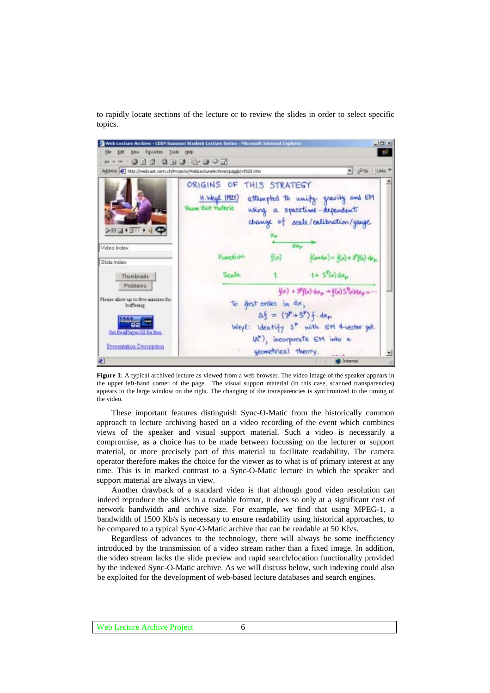to rapidly locate sections of the lecture or to review the slides in order to select specific topics.



**Figure 1**: A typical archived lecture as viewed from a web browser. The video image of the speaker appears in the upper left-hand corner of the page. The visual support material (in this case, scanned transparencies) appears in the large window on the right. The changing of the transparencies is synchronized to the timing of the video.

These important features distinguish Sync-O-Matic from the historically common approach to lecture archiving based on a video recording of the event which combines views of the speaker and visual support material. Such a video is necessarily a compromise, as a choice has to be made between focussing on the lecturer or support material, or more precisely part of this material to facilitate readability. The camera operator therefore makes the choice for the viewer as to what is of primary interest at any time. This is in marked contrast to a Sync-O-Matic lecture in which the speaker and support material are always in view.

Another drawback of a standard video is that although good video resolution can indeed reproduce the slides in a readable format, it does so only at a significant cost of network bandwidth and archive size. For example, we find that using MPEG-1, a bandwidth of 1500 Kb/s is necessary to ensure readability using historical approaches, to be compared to a typical Sync-O-Matic archive that can be readable at 50 Kb/s.

Regardless of advances to the technology, there will always be some inefficiency introduced by the transmission of a video stream rather than a fixed image. In addition, the video stream lacks the slide preview and rapid search/location functionality provided by the indexed Sync-O-Matic archive. As we will discuss below, such indexing could also be exploited for the development of web-based lecture databases and search engines.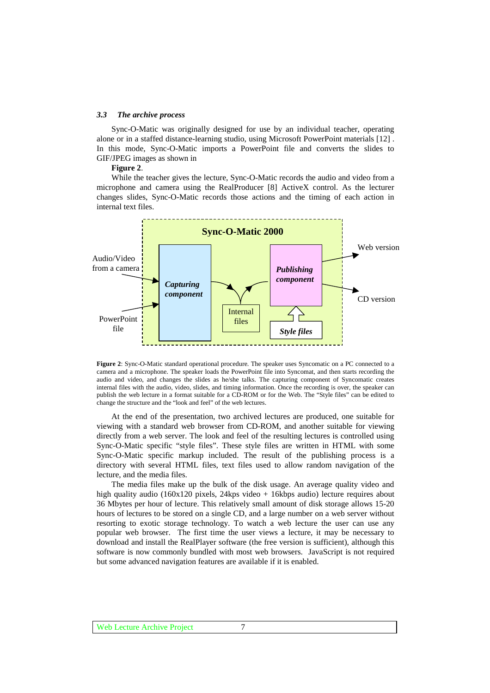#### *3.3 The archive process*

Sync-O-Matic was originally designed for use by an individual teacher, operating alone or in a staffed distance-learning studio, using Microsoft PowerPoint materials [12] . In this mode, Sync-O-Matic imports a PowerPoint file and converts the slides to GIF/JPEG images as shown in

#### **Figure 2**.

While the teacher gives the lecture, Sync-O-Matic records the audio and video from a microphone and camera using the RealProducer [8] ActiveX control. As the lecturer changes slides, Sync-O-Matic records those actions and the timing of each action in internal text files.



**Figure 2**: Sync-O-Matic standard operational procedure. The speaker uses Syncomatic on a PC connected to a camera and a microphone. The speaker loads the PowerPoint file into Syncomat, and then starts recording the audio and video, and changes the slides as he/she talks. The capturing component of Syncomatic creates internal files with the audio, video, slides, and timing information. Once the recording is over, the speaker can publish the web lecture in a format suitable for a CD-ROM or for the Web. The "Style files" can be edited to change the structure and the "look and feel" of the web lectures.

At the end of the presentation, two archived lectures are produced, one suitable for viewing with a standard web browser from CD-ROM, and another suitable for viewing directly from a web server. The look and feel of the resulting lectures is controlled using Sync-O-Matic specific "style files". These style files are written in HTML with some Sync-O-Matic specific markup included. The result of the publishing process is a directory with several HTML files, text files used to allow random navigation of the lecture, and the media files.

The media files make up the bulk of the disk usage. An average quality video and high quality audio (160x120 pixels, 24kps video + 16kbps audio) lecture requires about 36 Mbytes per hour of lecture. This relatively small amount of disk storage allows 15-20 hours of lectures to be stored on a single CD, and a large number on a web server without resorting to exotic storage technology. To watch a web lecture the user can use any popular web browser. The first time the user views a lecture, it may be necessary to download and install the RealPlayer software (the free version is sufficient), although this software is now commonly bundled with most web browsers. JavaScript is not required but some advanced navigation features are available if it is enabled.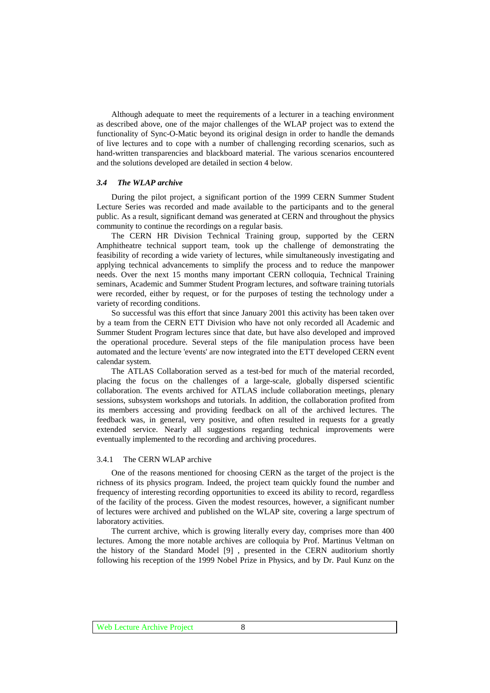Although adequate to meet the requirements of a lecturer in a teaching environment as described above, one of the major challenges of the WLAP project was to extend the functionality of Sync-O-Matic beyond its original design in order to handle the demands of live lectures and to cope with a number of challenging recording scenarios, such as hand-written transparencies and blackboard material. The various scenarios encountered and the solutions developed are detailed in section 4 below.

#### *3.4 The WLAP archive*

During the pilot project, a significant portion of the 1999 CERN Summer Student Lecture Series was recorded and made available to the participants and to the general public. As a result, significant demand was generated at CERN and throughout the physics community to continue the recordings on a regular basis.

The CERN HR Division Technical Training group, supported by the CERN Amphitheatre technical support team, took up the challenge of demonstrating the feasibility of recording a wide variety of lectures, while simultaneously investigating and applying technical advancements to simplify the process and to reduce the manpower needs. Over the next 15 months many important CERN colloquia, Technical Training seminars, Academic and Summer Student Program lectures, and software training tutorials were recorded, either by request, or for the purposes of testing the technology under a variety of recording conditions.

So successful was this effort that since January 2001 this activity has been taken over by a team from the CERN ETT Division who have not only recorded all Academic and Summer Student Program lectures since that date, but have also developed and improved the operational procedure. Several steps of the file manipulation process have been automated and the lecture 'events' are now integrated into the ETT developed CERN event calendar system.

The ATLAS Collaboration served as a test-bed for much of the material recorded, placing the focus on the challenges of a large-scale, globally dispersed scientific collaboration. The events archived for ATLAS include collaboration meetings, plenary sessions, subsystem workshops and tutorials. In addition, the collaboration profited from its members accessing and providing feedback on all of the archived lectures. The feedback was, in general, very positive, and often resulted in requests for a greatly extended service. Nearly all suggestions regarding technical improvements were eventually implemented to the recording and archiving procedures.

#### 3.4.1 The CERN WLAP archive

One of the reasons mentioned for choosing CERN as the target of the project is the richness of its physics program. Indeed, the project team quickly found the number and frequency of interesting recording opportunities to exceed its ability to record, regardless of the facility of the process. Given the modest resources, however, a significant number of lectures were archived and published on the WLAP site, covering a large spectrum of laboratory activities.

The current archive, which is growing literally every day, comprises more than 400 lectures. Among the more notable archives are colloquia by Prof. Martinus Veltman on the history of the Standard Model [9] , presented in the CERN auditorium shortly following his reception of the 1999 Nobel Prize in Physics, and by Dr. Paul Kunz on the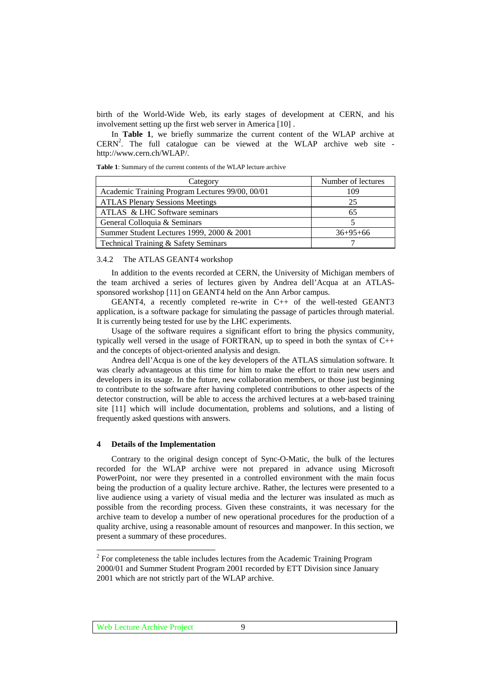birth of the World-Wide Web, its early stages of development at CERN, and his involvement setting up the first web server in America [10] .

In **Table 1**, we briefly summarize the current content of the WLAP archive at  $CERN<sup>2</sup>$ . The full catalogue can be viewed at the WLAP archive web site http://www.cern.ch/WLAP/.

**Table 1**: Summary of the current contents of the WLAP lecture archive

| Category                                        | Number of lectures |
|-------------------------------------------------|--------------------|
| Academic Training Program Lectures 99/00, 00/01 | 109                |
| <b>ATLAS Plenary Sessions Meetings</b>          | 25                 |
| ATLAS & LHC Software seminars                   | 65                 |
| General Colloquia & Seminars                    |                    |
| Summer Student Lectures 1999, 2000 & 2001       | $36+95+66$         |
| Technical Training & Safety Seminars            |                    |

## 3.4.2 The ATLAS GEANT4 workshop

In addition to the events recorded at CERN, the University of Michigan members of the team archived a series of lectures given by Andrea dell'Acqua at an ATLASsponsored workshop [11] on GEANT4 held on the Ann Arbor campus.

GEANT4, a recently completed re-write in  $C_{++}$  of the well-tested GEANT3 application, is a software package for simulating the passage of particles through material. It is currently being tested for use by the LHC experiments.

Usage of the software requires a significant effort to bring the physics community, typically well versed in the usage of FORTRAN, up to speed in both the syntax of C++ and the concepts of object-oriented analysis and design.

Andrea dell'Acqua is one of the key developers of the ATLAS simulation software. It was clearly advantageous at this time for him to make the effort to train new users and developers in its usage. In the future, new collaboration members, or those just beginning to contribute to the software after having completed contributions to other aspects of the detector construction, will be able to access the archived lectures at a web-based training site [11] which will include documentation, problems and solutions, and a listing of frequently asked questions with answers.

## **4 Details of the Implementation**

Contrary to the original design concept of Sync-O-Matic, the bulk of the lectures recorded for the WLAP archive were not prepared in advance using Microsoft PowerPoint, nor were they presented in a controlled environment with the main focus being the production of a quality lecture archive. Rather, the lectures were presented to a live audience using a variety of visual media and the lecturer was insulated as much as possible from the recording process. Given these constraints, it was necessary for the archive team to develop a number of new operational procedures for the production of a quality archive, using a reasonable amount of resources and manpower. In this section, we present a summary of these procedures.

<sup>&</sup>lt;sup>2</sup> For completeness the table includes lectures from the Academic Training Program 2000/01 and Summer Student Program 2001 recorded by ETT Division since January 2001 which are not strictly part of the WLAP archive.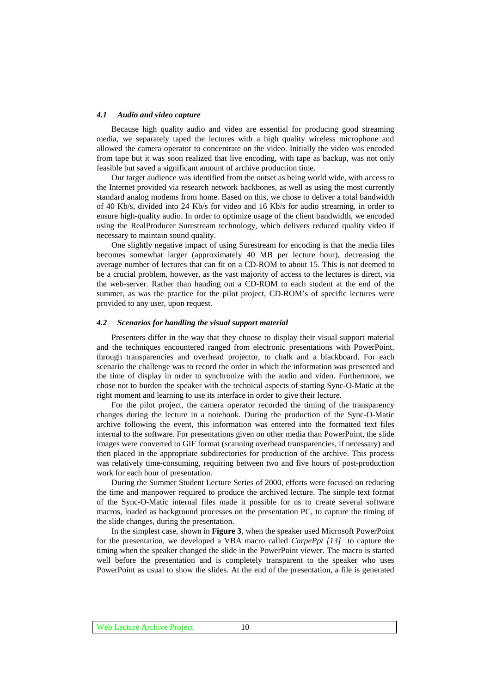#### *4.1 Audio and video capture*

Because high quality audio and video are essential for producing good streaming media, we separately taped the lectures with a high quality wireless microphone and allowed the camera operator to concentrate on the video. Initially the video was encoded from tape but it was soon realized that live encoding, with tape as backup, was not only feasible but saved a significant amount of archive production time.

Our target audience was identified from the outset as being world wide, with access to the Internet provided via research network backbones, as well as using the most currently standard analog modems from home. Based on this, we chose to deliver a total bandwidth of 40 Kb/s, divided into 24 Kb/s for video and 16 Kb/s for audio streaming, in order to ensure high-quality audio. In order to optimize usage of the client bandwidth, we encoded using the RealProducer Surestream technology, which delivers reduced quality video if necessary to maintain sound quality.

One slightly negative impact of using Surestream for encoding is that the media files becomes somewhat larger (approximately 40 MB per lecture hour), decreasing the average number of lectures that can fit on a CD-ROM to about 15. This is not deemed to be a crucial problem, however, as the vast majority of access to the lectures is direct, via the web-server. Rather than handing out a CD-ROM to each student at the end of the summer, as was the practice for the pilot project, CD-ROM's of specific lectures were provided to any user, upon request.

#### *4.2 Scenarios for handling the visual support material*

Presenters differ in the way that they choose to display their visual support material and the techniques encountered ranged from electronic presentations with PowerPoint, through transparencies and overhead projector, to chalk and a blackboard. For each scenario the challenge was to record the order in which the information was presented and the time of display in order to synchronize with the audio and video. Furthermore, we chose not to burden the speaker with the technical aspects of starting Sync-O-Matic at the right moment and learning to use its interface in order to give their lecture.

For the pilot project, the camera operator recorded the timing of the transparency changes during the lecture in a notebook. During the production of the Sync-O-Matic archive following the event, this information was entered into the formatted text files internal to the software. For presentations given on other media than PowerPoint, the slide images were converted to GIF format (scanning overhead transparencies, if necessary) and then placed in the appropriate subdirectories for production of the archive. This process was relatively time-consuming, requiring between two and five hours of post-production work for each hour of presentation.

During the Summer Student Lecture Series of 2000, efforts were focused on reducing the time and manpower required to produce the archived lecture. The simple text format of the Sync-O-Matic internal files made it possible for us to create several software macros, loaded as background processes on the presentation PC, to capture the timing of the slide changes, during the presentation.

In the simplest case, shown in **Figure 3**, when the speaker used Microsoft PowerPoint for the presentation, we developed a VBA macro called *CarpePpt [13]* to capture the timing when the speaker changed the slide in the PowerPoint viewer. The macro is started well before the presentation and is completely transparent to the speaker who uses PowerPoint as usual to show the slides. At the end of the presentation, a file is generated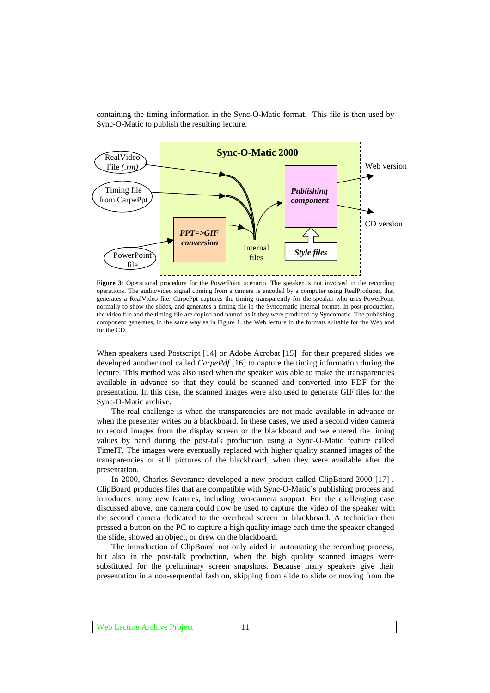containing the timing information in the Sync-O-Matic format. This file is then used by Sync-O-Matic to publish the resulting lecture.



**Figure 3**: Operational procedure for the PowerPoint scenario. The speaker is not involved in the recording operations. The audio/video signal coming from a camera is encoded by a computer using RealProducer, that generates a RealVideo file. CarpePpt captures the timing transparently for the speaker who uses PowerPoint normally to show the slides, and generates a timing file in the Syncomatic internal format. In post-production, the video file and the timing file are copied and named as if they were produced by Syncomatic. The publishing component generates, in the same way as in Figure 1, the Web lecture in the formats suitable for the Web and for the CD.

When speakers used Postscript [14] or Adobe Acrobat [15] for their prepared slides we developed another tool called *CarpePdf* [16] to capture the timing information during the lecture. This method was also used when the speaker was able to make the transparencies available in advance so that they could be scanned and converted into PDF for the presentation. In this case, the scanned images were also used to generate GIF files for the Sync-O-Matic archive.

The real challenge is when the transparencies are not made available in advance or when the presenter writes on a blackboard. In these cases, we used a second video camera to record images from the display screen or the blackboard and we entered the timing values by hand during the post-talk production using a Sync-O-Matic feature called TimeIT. The images were eventually replaced with higher quality scanned images of the transparencies or still pictures of the blackboard, when they were available after the presentation.

In 2000, Charles Severance developed a new product called ClipBoard-2000 [17] . ClipBoard produces files that are compatible with Sync-O-Matic's publishing process and introduces many new features, including two-camera support. For the challenging case discussed above, one camera could now be used to capture the video of the speaker with the second camera dedicated to the overhead screen or blackboard. A technician then pressed a button on the PC to capture a high quality image each time the speaker changed the slide, showed an object, or drew on the blackboard.

The introduction of ClipBoard not only aided in automating the recording process, but also in the post-talk production, when the high quality scanned images were substituted for the preliminary screen snapshots. Because many speakers give their presentation in a non-sequential fashion, skipping from slide to slide or moving from the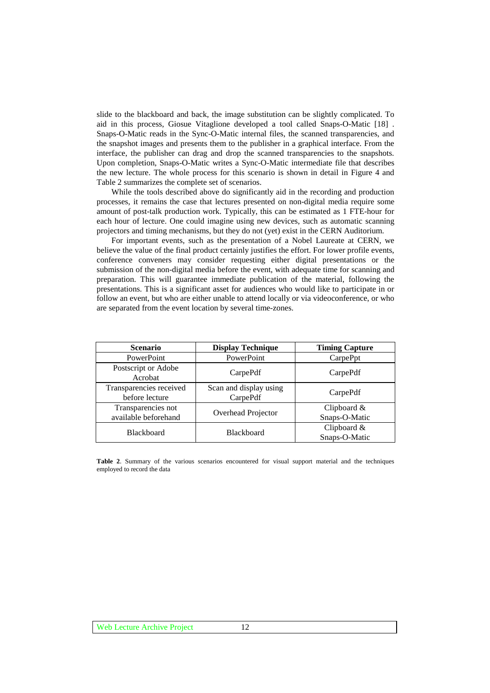slide to the blackboard and back, the image substitution can be slightly complicated. To aid in this process, Giosue Vitaglione developed a tool called Snaps-O-Matic [18] . Snaps-O-Matic reads in the Sync-O-Matic internal files, the scanned transparencies, and the snapshot images and presents them to the publisher in a graphical interface. From the interface, the publisher can drag and drop the scanned transparencies to the snapshots. Upon completion, Snaps-O-Matic writes a Sync-O-Matic intermediate file that describes the new lecture. The whole process for this scenario is shown in detail in Figure 4 and Table 2 summarizes the complete set of scenarios.

While the tools described above do significantly aid in the recording and production processes, it remains the case that lectures presented on non-digital media require some amount of post-talk production work. Typically, this can be estimated as 1 FTE-hour for each hour of lecture. One could imagine using new devices, such as automatic scanning projectors and timing mechanisms, but they do not (yet) exist in the CERN Auditorium.

For important events, such as the presentation of a Nobel Laureate at CERN, we believe the value of the final product certainly justifies the effort. For lower profile events, conference conveners may consider requesting either digital presentations or the submission of the non-digital media before the event, with adequate time for scanning and preparation. This will guarantee immediate publication of the material, following the presentations. This is a significant asset for audiences who would like to participate in or follow an event, but who are either unable to attend locally or via videoconference, or who are separated from the event location by several time-zones.

| <b>Scenario</b>                            | <b>Display Technique</b>           | <b>Timing Capture</b>          |
|--------------------------------------------|------------------------------------|--------------------------------|
| PowerPoint                                 | PowerPoint                         | CarpePpt                       |
| Postscript or Adobe<br>Acrobat             | CarpePdf                           | CarpePdf                       |
| Transparencies received<br>before lecture  | Scan and display using<br>CarpePdf | CarpePdf                       |
| Transparencies not<br>available beforehand | Overhead Projector                 | Clipboard $&$<br>Snaps-O-Matic |
| <b>Blackboard</b>                          | <b>Blackboard</b>                  | Clipboard $&$<br>Snaps-O-Matic |

**Table 2**. Summary of the various scenarios encountered for visual support material and the techniques employed to record the data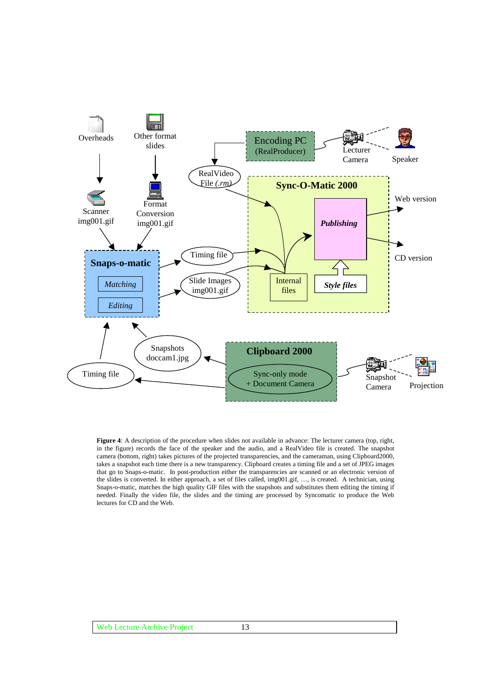

**Figure 4**: A description of the procedure when slides not available in advance: The lecturer camera (top, right, in the figure) records the face of the speaker and the audio, and a RealVideo file is created. The snapshot camera (bottom, right) takes pictures of the projected transparencies, and the cameraman, using Clipboard2000, takes a snapshot each time there is a new transparency. Clipboard creates a timing file and a set of JPEG images that go to Snaps-o-matic. In post-production either the transparencies are scanned or an electronic version of the slides is converted. In either approach, a set of files called, img001.gif, …, is created. A technician, using Snaps-o-matic, matches the high quality GIF files with the snapshots and substitutes them editing the timing if needed. Finally the video file, the slides and the timing are processed by Syncomatic to produce the Web lectures for CD and the Web.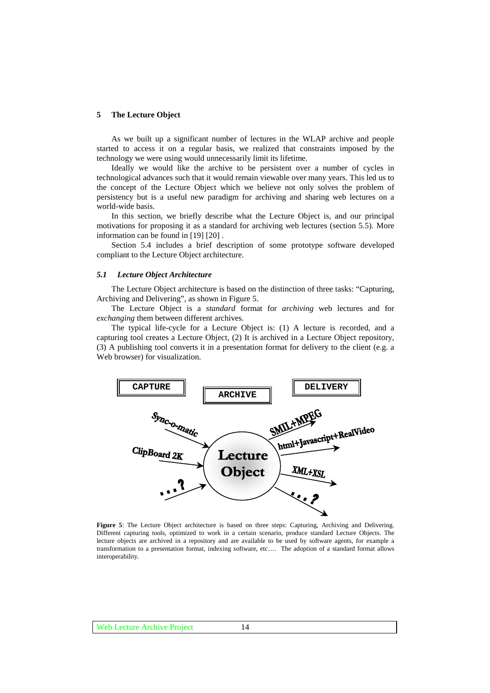## **5 The Lecture Object**

As we built up a significant number of lectures in the WLAP archive and people started to access it on a regular basis, we realized that constraints imposed by the technology we were using would unnecessarily limit its lifetime.

Ideally we would like the archive to be persistent over a number of cycles in technological advances such that it would remain viewable over many years. This led us to the concept of the Lecture Object which we believe not only solves the problem of persistency but is a useful new paradigm for archiving and sharing web lectures on a world-wide basis.

In this section, we briefly describe what the Lecture Object is, and our principal motivations for proposing it as a standard for archiving web lectures (section 5.5). More information can be found in [19] [20] .

Section 5.4 includes a brief description of some prototype software developed compliant to the Lecture Object architecture.

#### *5.1 Lecture Object Architecture*

The Lecture Object architecture is based on the distinction of three tasks: "Capturing, Archiving and Delivering", as shown in Figure 5.

The Lecture Object is a *standard* format for *archiving* web lectures and for *exchanging* them between different archives.

The typical life-cycle for a Lecture Object is: (1) A lecture is recorded, and a capturing tool creates a Lecture Object, (2) It is archived in a Lecture Object repository, (3) A publishing tool converts it in a presentation format for delivery to the client (e.g. a Web browser) for visualization.



**Figure 5**: The Lecture Object architecture is based on three steps: Capturing, Archiving and Delivering. Different capturing tools, optimized to work in a certain scenario, produce standard Lecture Objects. The lecture objects are archived in a repository and are available to be used by software agents, for example a transformation to a presentation format, indexing software, etc…. The adoption of a standard format allows interoperability.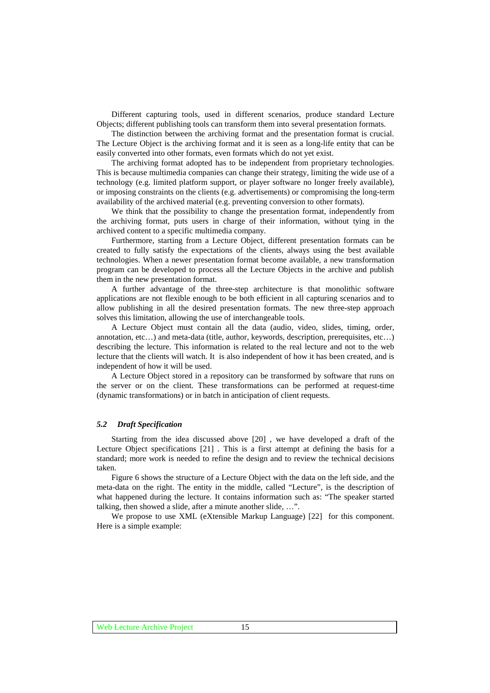Different capturing tools, used in different scenarios, produce standard Lecture Objects; different publishing tools can transform them into several presentation formats.

The distinction between the archiving format and the presentation format is crucial. The Lecture Object is the archiving format and it is seen as a long-life entity that can be easily converted into other formats, even formats which do not yet exist.

The archiving format adopted has to be independent from proprietary technologies. This is because multimedia companies can change their strategy, limiting the wide use of a technology (e.g. limited platform support, or player software no longer freely available), or imposing constraints on the clients (e.g. advertisements) or compromising the long-term availability of the archived material (e.g. preventing conversion to other formats).

We think that the possibility to change the presentation format, independently from the archiving format, puts users in charge of their information, without tying in the archived content to a specific multimedia company.

Furthermore, starting from a Lecture Object, different presentation formats can be created to fully satisfy the expectations of the clients, always using the best available technologies. When a newer presentation format become available, a new transformation program can be developed to process all the Lecture Objects in the archive and publish them in the new presentation format.

A further advantage of the three-step architecture is that monolithic software applications are not flexible enough to be both efficient in all capturing scenarios and to allow publishing in all the desired presentation formats. The new three-step approach solves this limitation, allowing the use of interchangeable tools.

A Lecture Object must contain all the data (audio, video, slides, timing, order, annotation, etc…) and meta-data (title, author, keywords, description, prerequisites, etc…) describing the lecture. This information is related to the real lecture and not to the web lecture that the clients will watch. It is also independent of how it has been created, and is independent of how it will be used.

A Lecture Object stored in a repository can be transformed by software that runs on the server or on the client. These transformations can be performed at request-time (dynamic transformations) or in batch in anticipation of client requests.

## *5.2 Draft Specification*

Starting from the idea discussed above [20] , we have developed a draft of the Lecture Object specifications [21] . This is a first attempt at defining the basis for a standard; more work is needed to refine the design and to review the technical decisions taken.

Figure 6 shows the structure of a Lecture Object with the data on the left side, and the meta-data on the right. The entity in the middle, called "Lecture", is the description of what happened during the lecture. It contains information such as: "The speaker started talking, then showed a slide, after a minute another slide, …".

We propose to use XML (eXtensible Markup Language) [22] for this component. Here is a simple example: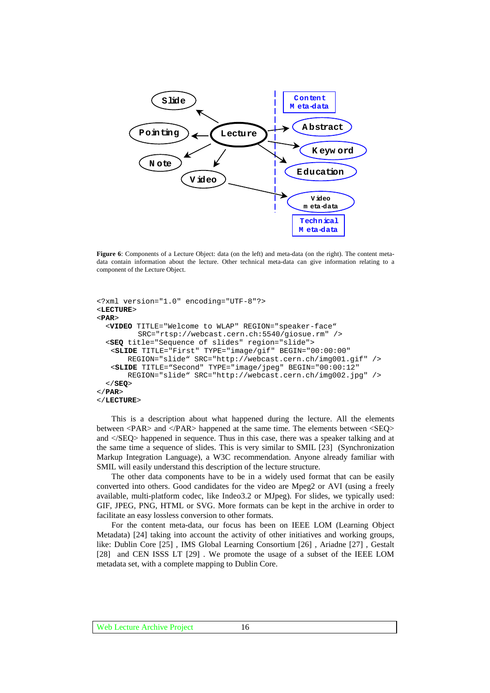

**Figure 6**: Components of a Lecture Object: data (on the left) and meta-data (on the right). The content metadata contain information about the lecture. Other technical meta-data can give information relating to a component of the Lecture Object.

```
<?xml version="1.0" encoding="UTF-8"?>
<LECTURE>
<PAR>
  <VIDEO TITLE="Welcome to WLAP" REGION="speaker-face"
         SRC="rtsp://webcast.cern.ch:5540/giosue.rm" />
  <SEQ title="Sequence of slides" region="slide">
   <SLIDE TITLE="First" TYPE="image/gif" BEGIN="00:00:00"
      REGION="slide" SRC="http://webcast.cern.ch/img001.gif" />
   <SLIDE TITLE="Second" TYPE="image/jpeg" BEGIN="00:00:12"
       REGION="slide" SRC="http://webcast.cern.ch/img002.jpg" />
  </SEQ>
</PAR>
</LECTURE>
```
This is a description about what happened during the lecture. All the elements between <PAR> and </PAR> happened at the same time. The elements between <SEQ> and </SEQ> happened in sequence. Thus in this case, there was a speaker talking and at the same time a sequence of slides. This is very similar to SMIL [23] (Synchronization Markup Integration Language), a W3C recommendation. Anyone already familiar with SMIL will easily understand this description of the lecture structure.

The other data components have to be in a widely used format that can be easily converted into others. Good candidates for the video are Mpeg2 or AVI (using a freely available, multi-platform codec, like Indeo3.2 or MJpeg). For slides, we typically used: GIF, JPEG, PNG, HTML or SVG. More formats can be kept in the archive in order to facilitate an easy lossless conversion to other formats.

For the content meta-data, our focus has been on IEEE LOM (Learning Object Metadata) [24] taking into account the activity of other initiatives and working groups, like: Dublin Core [25] , IMS Global Learning Consortium [26] , Ariadne [27] , Gestalt [28] and CEN ISSS LT [29] . We promote the usage of a subset of the IEEE LOM metadata set, with a complete mapping to Dublin Core.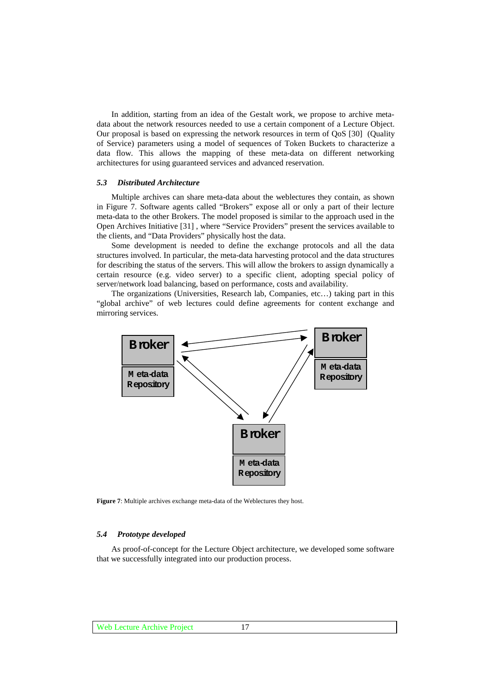In addition, starting from an idea of the Gestalt work, we propose to archive metadata about the network resources needed to use a certain component of a Lecture Object. Our proposal is based on expressing the network resources in term of QoS [30] (Quality of Service) parameters using a model of sequences of Token Buckets to characterize a data flow. This allows the mapping of these meta-data on different networking architectures for using guaranteed services and advanced reservation.

#### *5.3 Distributed Architecture*

Multiple archives can share meta-data about the weblectures they contain, as shown in Figure 7. Software agents called "Brokers" expose all or only a part of their lecture meta-data to the other Brokers. The model proposed is similar to the approach used in the Open Archives Initiative [31] , where "Service Providers" present the services available to the clients, and "Data Providers" physically host the data.

Some development is needed to define the exchange protocols and all the data structures involved. In particular, the meta-data harvesting protocol and the data structures for describing the status of the servers. This will allow the brokers to assign dynamically a certain resource (e.g. video server) to a specific client, adopting special policy of server/network load balancing, based on performance, costs and availability.

The organizations (Universities, Research lab, Companies, etc…) taking part in this "global archive" of web lectures could define agreements for content exchange and mirroring services.



**Figure 7**: Multiple archives exchange meta-data of the Weblectures they host.

#### *5.4 Prototype developed*

As proof-of-concept for the Lecture Object architecture, we developed some software that we successfully integrated into our production process.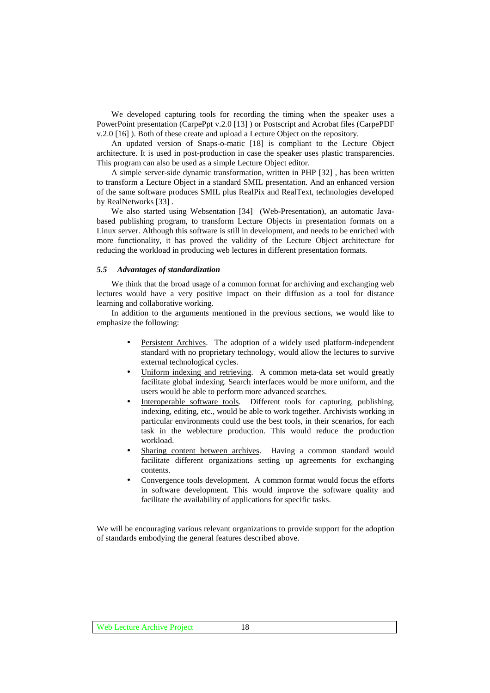We developed capturing tools for recording the timing when the speaker uses a PowerPoint presentation (CarpePpt v.2.0 [13] ) or Postscript and Acrobat files (CarpePDF v.2.0 [16] ). Both of these create and upload a Lecture Object on the repository.

An updated version of Snaps-o-matic [18] is compliant to the Lecture Object architecture. It is used in post-production in case the speaker uses plastic transparencies. This program can also be used as a simple Lecture Object editor.

A simple server-side dynamic transformation, written in PHP [32] , has been written to transform a Lecture Object in a standard SMIL presentation. And an enhanced version of the same software produces SMIL plus RealPix and RealText, technologies developed by RealNetworks [33] .

We also started using Websentation [34] (Web-Presentation), an automatic Javabased publishing program, to transform Lecture Objects in presentation formats on a Linux server. Although this software is still in development, and needs to be enriched with more functionality, it has proved the validity of the Lecture Object architecture for reducing the workload in producing web lectures in different presentation formats.

#### *5.5 Advantages of standardization*

We think that the broad usage of a common format for archiving and exchanging web lectures would have a very positive impact on their diffusion as a tool for distance learning and collaborative working.

In addition to the arguments mentioned in the previous sections, we would like to emphasize the following:

- Persistent Archives. The adoption of a widely used platform-independent standard with no proprietary technology, would allow the lectures to survive external technological cycles.
- Uniform indexing and retrieving. A common meta-data set would greatly facilitate global indexing. Search interfaces would be more uniform, and the users would be able to perform more advanced searches.
- Interoperable software tools. Different tools for capturing, publishing, indexing, editing, etc., would be able to work together. Archivists working in particular environments could use the best tools, in their scenarios, for each task in the weblecture production. This would reduce the production workload.
- Sharing content between archives. Having a common standard would facilitate different organizations setting up agreements for exchanging contents.
- Convergence tools development. A common format would focus the efforts in software development. This would improve the software quality and facilitate the availability of applications for specific tasks.

We will be encouraging various relevant organizations to provide support for the adoption of standards embodying the general features described above.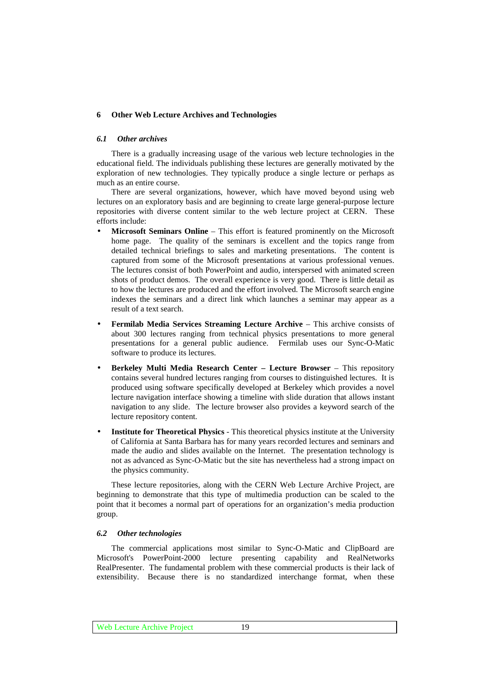## **6 Other Web Lecture Archives and Technologies**

## *6.1 Other archives*

There is a gradually increasing usage of the various web lecture technologies in the educational field. The individuals publishing these lectures are generally motivated by the exploration of new technologies. They typically produce a single lecture or perhaps as much as an entire course.

There are several organizations, however, which have moved beyond using web lectures on an exploratory basis and are beginning to create large general-purpose lecture repositories with diverse content similar to the web lecture project at CERN. These efforts include:

- **Microsoft Seminars Online** This effort is featured prominently on the Microsoft home page. The quality of the seminars is excellent and the topics range from detailed technical briefings to sales and marketing presentations. The content is captured from some of the Microsoft presentations at various professional venues. The lectures consist of both PowerPoint and audio, interspersed with animated screen shots of product demos. The overall experience is very good. There is little detail as to how the lectures are produced and the effort involved. The Microsoft search engine indexes the seminars and a direct link which launches a seminar may appear as a result of a text search.
- **Fermilab Media Services Streaming Lecture Archive** This archive consists of about 300 lectures ranging from technical physics presentations to more general presentations for a general public audience. Fermilab uses our Sync-O-Matic software to produce its lectures.
- **Berkeley Multi Media Research Center Lecture Browser** This repository contains several hundred lectures ranging from courses to distinguished lectures. It is produced using software specifically developed at Berkeley which provides a novel lecture navigation interface showing a timeline with slide duration that allows instant navigation to any slide. The lecture browser also provides a keyword search of the lecture repository content.
- **Institute for Theoretical Physics** This theoretical physics institute at the University of California at Santa Barbara has for many years recorded lectures and seminars and made the audio and slides available on the Internet. The presentation technology is not as advanced as Sync-O-Matic but the site has nevertheless had a strong impact on the physics community.

These lecture repositories, along with the CERN Web Lecture Archive Project, are beginning to demonstrate that this type of multimedia production can be scaled to the point that it becomes a normal part of operations for an organization's media production group.

#### *6.2 Other technologies*

The commercial applications most similar to Sync-O-Matic and ClipBoard are Microsoft's PowerPoint-2000 lecture presenting capability and RealNetworks RealPresenter. The fundamental problem with these commercial products is their lack of extensibility. Because there is no standardized interchange format, when these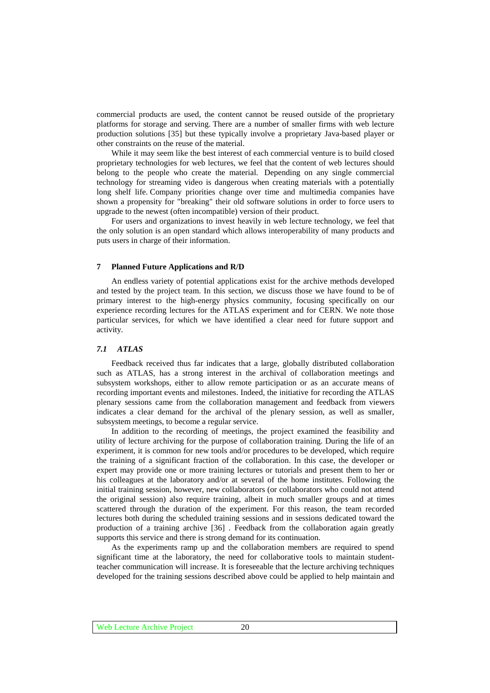commercial products are used, the content cannot be reused outside of the proprietary platforms for storage and serving. There are a number of smaller firms with web lecture production solutions [35] but these typically involve a proprietary Java-based player or other constraints on the reuse of the material.

While it may seem like the best interest of each commercial venture is to build closed proprietary technologies for web lectures, we feel that the content of web lectures should belong to the people who create the material. Depending on any single commercial technology for streaming video is dangerous when creating materials with a potentially long shelf life. Company priorities change over time and multimedia companies have shown a propensity for "breaking" their old software solutions in order to force users to upgrade to the newest (often incompatible) version of their product.

For users and organizations to invest heavily in web lecture technology, we feel that the only solution is an open standard which allows interoperability of many products and puts users in charge of their information.

#### **7 Planned Future Applications and R/D**

An endless variety of potential applications exist for the archive methods developed and tested by the project team. In this section, we discuss those we have found to be of primary interest to the high-energy physics community, focusing specifically on our experience recording lectures for the ATLAS experiment and for CERN. We note those particular services, for which we have identified a clear need for future support and activity.

## *7.1 ATLAS*

Feedback received thus far indicates that a large, globally distributed collaboration such as ATLAS, has a strong interest in the archival of collaboration meetings and subsystem workshops, either to allow remote participation or as an accurate means of recording important events and milestones. Indeed, the initiative for recording the ATLAS plenary sessions came from the collaboration management and feedback from viewers indicates a clear demand for the archival of the plenary session, as well as smaller, subsystem meetings, to become a regular service.

In addition to the recording of meetings, the project examined the feasibility and utility of lecture archiving for the purpose of collaboration training. During the life of an experiment, it is common for new tools and/or procedures to be developed, which require the training of a significant fraction of the collaboration. In this case, the developer or expert may provide one or more training lectures or tutorials and present them to her or his colleagues at the laboratory and/or at several of the home institutes. Following the initial training session, however, new collaborators (or collaborators who could not attend the original session) also require training, albeit in much smaller groups and at times scattered through the duration of the experiment. For this reason, the team recorded lectures both during the scheduled training sessions and in sessions dedicated toward the production of a training archive [36] . Feedback from the collaboration again greatly supports this service and there is strong demand for its continuation.

As the experiments ramp up and the collaboration members are required to spend significant time at the laboratory, the need for collaborative tools to maintain studentteacher communication will increase. It is foreseeable that the lecture archiving techniques developed for the training sessions described above could be applied to help maintain and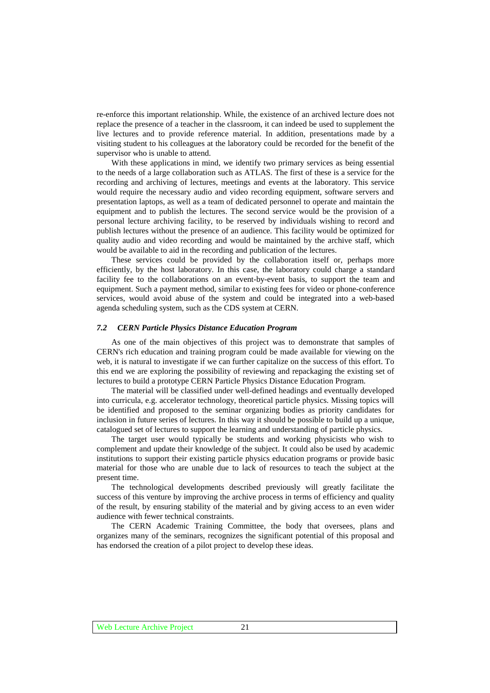re-enforce this important relationship. While, the existence of an archived lecture does not replace the presence of a teacher in the classroom, it can indeed be used to supplement the live lectures and to provide reference material. In addition, presentations made by a visiting student to his colleagues at the laboratory could be recorded for the benefit of the supervisor who is unable to attend.

With these applications in mind, we identify two primary services as being essential to the needs of a large collaboration such as ATLAS. The first of these is a service for the recording and archiving of lectures, meetings and events at the laboratory. This service would require the necessary audio and video recording equipment, software servers and presentation laptops, as well as a team of dedicated personnel to operate and maintain the equipment and to publish the lectures. The second service would be the provision of a personal lecture archiving facility, to be reserved by individuals wishing to record and publish lectures without the presence of an audience. This facility would be optimized for quality audio and video recording and would be maintained by the archive staff, which would be available to aid in the recording and publication of the lectures.

These services could be provided by the collaboration itself or, perhaps more efficiently, by the host laboratory. In this case, the laboratory could charge a standard facility fee to the collaborations on an event-by-event basis, to support the team and equipment. Such a payment method, similar to existing fees for video or phone-conference services, would avoid abuse of the system and could be integrated into a web-based agenda scheduling system, such as the CDS system at CERN.

## *7.2 CERN Particle Physics Distance Education Program*

As one of the main objectives of this project was to demonstrate that samples of CERN's rich education and training program could be made available for viewing on the web, it is natural to investigate if we can further capitalize on the success of this effort. To this end we are exploring the possibility of reviewing and repackaging the existing set of lectures to build a prototype CERN Particle Physics Distance Education Program.

The material will be classified under well-defined headings and eventually developed into curricula, e.g. accelerator technology, theoretical particle physics. Missing topics will be identified and proposed to the seminar organizing bodies as priority candidates for inclusion in future series of lectures. In this way it should be possible to build up a unique, catalogued set of lectures to support the learning and understanding of particle physics.

The target user would typically be students and working physicists who wish to complement and update their knowledge of the subject. It could also be used by academic institutions to support their existing particle physics education programs or provide basic material for those who are unable due to lack of resources to teach the subject at the present time.

The technological developments described previously will greatly facilitate the success of this venture by improving the archive process in terms of efficiency and quality of the result, by ensuring stability of the material and by giving access to an even wider audience with fewer technical constraints.

The CERN Academic Training Committee, the body that oversees, plans and organizes many of the seminars, recognizes the significant potential of this proposal and has endorsed the creation of a pilot project to develop these ideas.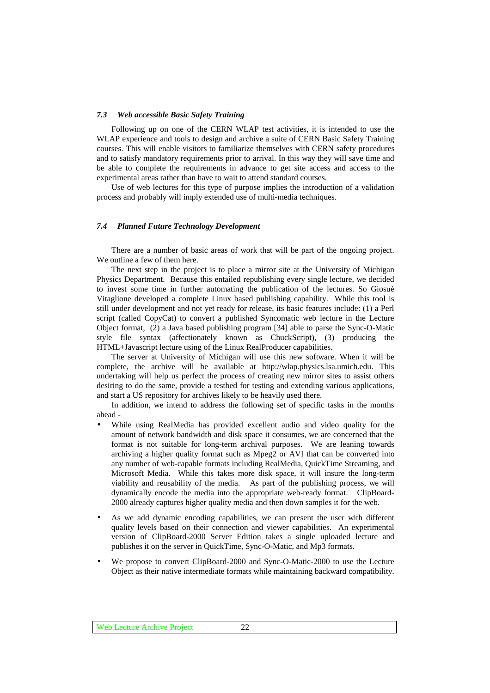## *7.3 Web accessible Basic Safety Training*

Following up on one of the CERN WLAP test activities, it is intended to use the WLAP experience and tools to design and archive a suite of CERN Basic Safety Training courses. This will enable visitors to familiarize themselves with CERN safety procedures and to satisfy mandatory requirements prior to arrival. In this way they will save time and be able to complete the requirements in advance to get site access and access to the experimental areas rather than have to wait to attend standard courses.

Use of web lectures for this type of purpose implies the introduction of a validation process and probably will imply extended use of multi-media techniques.

## *7.4 Planned Future Technology Development*

There are a number of basic areas of work that will be part of the ongoing project. We outline a few of them here.

The next step in the project is to place a mirror site at the University of Michigan Physics Department. Because this entailed republishing every single lecture, we decided to invest some time in further automating the publication of the lectures. So Giosuè Vitaglione developed a complete Linux based publishing capability. While this tool is still under development and not yet ready for release, its basic features include: (1) a Perl script (called CopyCat) to convert a published Syncomatic web lecture in the Lecture Object format, (2) a Java based publishing program [34] able to parse the Sync-O-Matic style file syntax (affectionately known as ChuckScript), (3) producing the HTML+Javascript lecture using of the Linux RealProducer capabilities.

The server at University of Michigan will use this new software. When it will be complete, the archive will be available at http://wlap.physics.lsa.umich.edu. This undertaking will help us perfect the process of creating new mirror sites to assist others desiring to do the same, provide a testbed for testing and extending various applications, and start a US repository for archives likely to be heavily used there.

In addition, we intend to address the following set of specific tasks in the months ahead -

- While using RealMedia has provided excellent audio and video quality for the amount of network bandwidth and disk space it consumes, we are concerned that the format is not suitable for long-term archival purposes. We are leaning towards archiving a higher quality format such as Mpeg2 or AVI that can be converted into any number of web-capable formats including RealMedia, QuickTime Streaming, and Microsoft Media. While this takes more disk space, it will insure the long-term viability and reusability of the media. As part of the publishing process, we will dynamically encode the media into the appropriate web-ready format. ClipBoard-2000 already captures higher quality media and then down samples it for the web.
- As we add dynamic encoding capabilities, we can present the user with different quality levels based on their connection and viewer capabilities. An experimental version of ClipBoard-2000 Server Edition takes a single uploaded lecture and publishes it on the server in QuickTime, Sync-O-Matic, and Mp3 formats.
- We propose to convert ClipBoard-2000 and Sync-O-Matic-2000 to use the Lecture Object as their native intermediate formats while maintaining backward compatibility.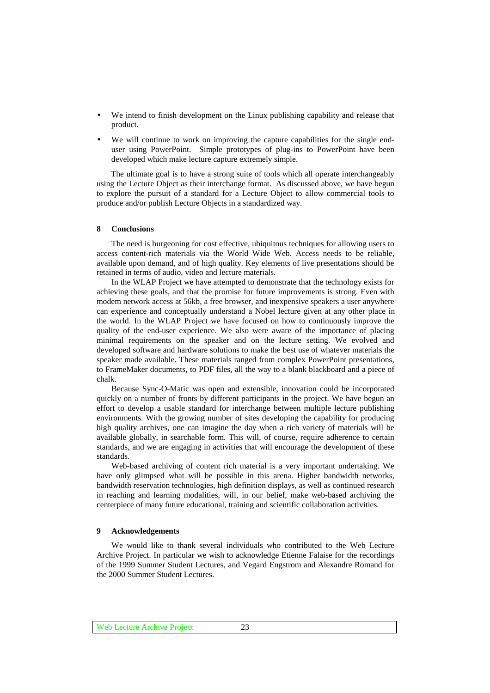- We intend to finish development on the Linux publishing capability and release that product.
- We will continue to work on improving the capture capabilities for the single enduser using PowerPoint. Simple prototypes of plug-ins to PowerPoint have been developed which make lecture capture extremely simple.

The ultimate goal is to have a strong suite of tools which all operate interchangeably using the Lecture Object as their interchange format. As discussed above, we have begun to explore the pursuit of a standard for a Lecture Object to allow commercial tools to produce and/or publish Lecture Objects in a standardized way.

## **8 Conclusions**

The need is burgeoning for cost effective, ubiquitous techniques for allowing users to access content-rich materials via the World Wide Web. Access needs to be reliable, available upon demand, and of high quality. Key elements of live presentations should be retained in terms of audio, video and lecture materials.

In the WLAP Project we have attempted to demonstrate that the technology exists for achieving these goals, and that the promise for future improvements is strong. Even with modem network access at 56kb, a free browser, and inexpensive speakers a user anywhere can experience and conceptually understand a Nobel lecture given at any other place in the world. In the WLAP Project we have focused on how to continuously improve the quality of the end-user experience. We also were aware of the importance of placing minimal requirements on the speaker and on the lecture setting. We evolved and developed software and hardware solutions to make the best use of whatever materials the speaker made available. These materials ranged from complex PowerPoint presentations, to FrameMaker documents, to PDF files, all the way to a blank blackboard and a piece of chalk.

Because Sync-O-Matic was open and extensible, innovation could be incorporated quickly on a number of fronts by different participants in the project. We have begun an effort to develop a usable standard for interchange between multiple lecture publishing environments. With the growing number of sites developing the capability for producing high quality archives, one can imagine the day when a rich variety of materials will be available globally, in searchable form. This will, of course, require adherence to certain standards, and we are engaging in activities that will encourage the development of these standards.

Web-based archiving of content rich material is a very important undertaking. We have only glimpsed what will be possible in this arena. Higher bandwidth networks, bandwidth reservation technologies, high definition displays, as well as continued research in reaching and learning modalities, will, in our belief, make web-based archiving the centerpiece of many future educational, training and scientific collaboration activities.

## **9 Acknowledgements**

We would like to thank several individuals who contributed to the Web Lecture Archive Project. In particular we wish to acknowledge Etienne Falaise for the recordings of the 1999 Summer Student Lectures, and Vegard Engstrom and Alexandre Romand for the 2000 Summer Student Lectures.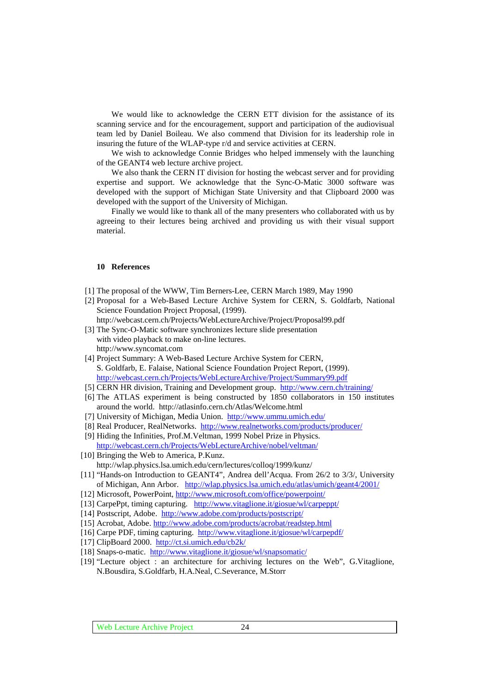We would like to acknowledge the CERN ETT division for the assistance of its scanning service and for the encouragement, support and participation of the audiovisual team led by Daniel Boileau. We also commend that Division for its leadership role in insuring the future of the WLAP-type r/d and service activities at CERN.

We wish to acknowledge Connie Bridges who helped immensely with the launching of the GEANT4 web lecture archive project.

We also thank the CERN IT division for hosting the webcast server and for providing expertise and support. We acknowledge that the Sync-O-Matic 3000 software was developed with the support of Michigan State University and that Clipboard 2000 was developed with the support of the University of Michigan.

Finally we would like to thank all of the many presenters who collaborated with us by agreeing to their lectures being archived and providing us with their visual support material.

## **10 References**

- [1] The proposal of the WWW, Tim Berners-Lee, CERN March 1989, May 1990
- [2] Proposal for a Web-Based Lecture Archive System for CERN, S. Goldfarb, National Science Foundation Project Proposal, (1999).
- http://webcast.cern.ch/Projects/WebLectureArchive/Project/Proposal99.pdf [3] The Sync-O-Matic software synchronizes lecture slide presentation
- with video playback to make on-line lectures. http://www.syncomat.com
- [4] Project Summary: A Web-Based Lecture Archive System for CERN, S. Goldfarb, E. Falaise, National Science Foundation Project Report, (1999). http://webcast.cern.ch/Projects/WebLectureArchive/Project/Summary99.pdf
- [5] CERN HR division, Training and Development group. http://www.cern.ch/training/
- [6] The ATLAS experiment is being constructed by 1850 collaborators in 150 institutes around the world. http://atlasinfo.cern.ch/Atlas/Welcome.html
- [7] University of Michigan, Media Union. http://www.ummu.umich.edu/
- [8] Real Producer, RealNetworks. http://www.realnetworks.com/products/producer/
- [9] Hiding the Infinities, Prof.M.Veltman, 1999 Nobel Prize in Physics. http://webcast.cern.ch/Projects/WebLectureArchive/nobel/veltman/
- [10] Bringing the Web to America, P.Kunz. http://wlap.physics.lsa.umich.edu/cern/lectures/colloq/1999/kunz/
- [11] "Hands-on Introduction to GEANT4", Andrea dell'Acqua. From 26/2 to 3/3/, University of Michigan, Ann Arbor. http://wlap.physics.lsa.umich.edu/atlas/umich/geant4/2001/
- [12] Microsoft, PowerPoint, http://www.microsoft.com/office/powerpoint/
- [13] CarpePpt, timing capturing. http://www.vitaglione.it/giosue/wl/carpeppt/
- [14] Postscript, Adobe. http://www.adobe.com/products/postscript/
- [15] Acrobat, Adobe. http://www.adobe.com/products/acrobat/readstep.html
- [16] Carpe PDF, timing capturing. http://www.vitaglione.it/giosue/wl/carpepdf/
- [17] ClipBoard 2000. http://ct.si.umich.edu/cb2k/
- [18] Snaps-o-matic. http://www.vitaglione.it/giosue/wl/snapsomatic/
- [19] "Lecture object : an architecture for archiving lectures on the Web", G.Vitaglione, N.Bousdira, S.Goldfarb, H.A.Neal, C.Severance, M.Storr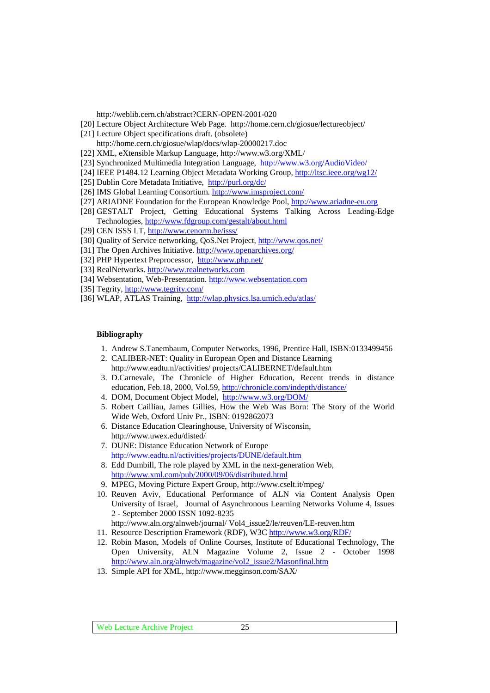http://weblib.cern.ch/abstract?CERN-OPEN-2001-020

- [20] Lecture Object Architecture Web Page. http://home.cern.ch/giosue/lectureobject/
- [21] Lecture Object specifications draft. (obsolete) http://home.cern.ch/giosue/wlap/docs/wlap-20000217.doc
- [22] XML, eXtensible Markup Language, http://www.w3.org/XML/
- [23] Synchronized Multimedia Integration Language, http://www.w3.org/AudioVideo/
- [24] IEEE P1484.12 Learning Object Metadata Working Group, http://ltsc.ieee.org/wg12/
- [25] Dublin Core Metadata Initiative, http://purl.org/dc/
- [26] IMS Global Learning Consortium. http://www.imsproject.com/
- [27] ARIADNE Foundation for the European Knowledge Pool, http://www.ariadne-eu.org
- [28] GESTALT Project, Getting Educational Systems Talking Across Leading-Edge Technologies, http://www.fdgroup.com/gestalt/about.html
- [29] CEN ISSS LT, http://www.cenorm.be/isss/
- [30] Quality of Service networking, QoS.Net Project, http://www.qos.net/
- [31] The Open Archives Initiative. http://www.openarchives.org/
- [32] PHP Hypertext Preprocessor, http://www.php.net/
- [33] RealNetworks. http://www.realnetworks.com
- [34] Websentation, Web-Presentation. http://www.websentation.com
- [35] Tegrity, http://www.tegrity.com/
- [36] WLAP, ATLAS Training, http://wlap.physics.lsa.umich.edu/atlas/

## **Bibliography**

- 1. Andrew S.Tanembaum, Computer Networks, 1996, Prentice Hall, ISBN:0133499456
- 2. CALIBER-NET: Quality in European Open and Distance Learning http://www.eadtu.nl/activities/ projects/CALIBERNET/default.htm
- 3. D.Carnevale, The Chronicle of Higher Education, Recent trends in distance education, Feb.18, 2000, Vol.59, http://chronicle.com/indepth/distance/
- 4. DOM, Document Object Model, http://www.w3.org/DOM/
- 5. Robert Cailliau, James Gillies, How the Web Was Born: The Story of the World Wide Web, Oxford Univ Pr., ISBN: 0192862073
- 6. Distance Education Clearinghouse, University of Wisconsin, http://www.uwex.edu/disted/
- 7. DUNE: Distance Education Network of Europe http://www.eadtu.nl/activities/projects/DUNE/default.htm
- 8. Edd Dumbill, The role played by XML in the next-generation Web, http://www.xml.com/pub/2000/09/06/distributed.html
- 9. MPEG, Moving Picture Expert Group, http://www.cselt.it/mpeg/
- 10. Reuven Aviv, Educational Performance of ALN via Content Analysis Open University of Israel, Journal of Asynchronous Learning Networks Volume 4, Issues 2 - September 2000 ISSN 1092-8235 http://www.aln.org/alnweb/journal/ Vol4\_issue2/le/reuven/LE-reuven.htm
- 11. Resource Description Framework (RDF), W3C http://www.w3.org/RDF/
- 
- 12. Robin Mason, Models of Online Courses, Institute of Educational Technology, The Open University, ALN Magazine Volume 2, Issue 2 - October 1998 http://www.aln.org/alnweb/magazine/vol2\_issue2/Masonfinal.htm
- 13. Simple API for XML, http://www.megginson.com/SAX/